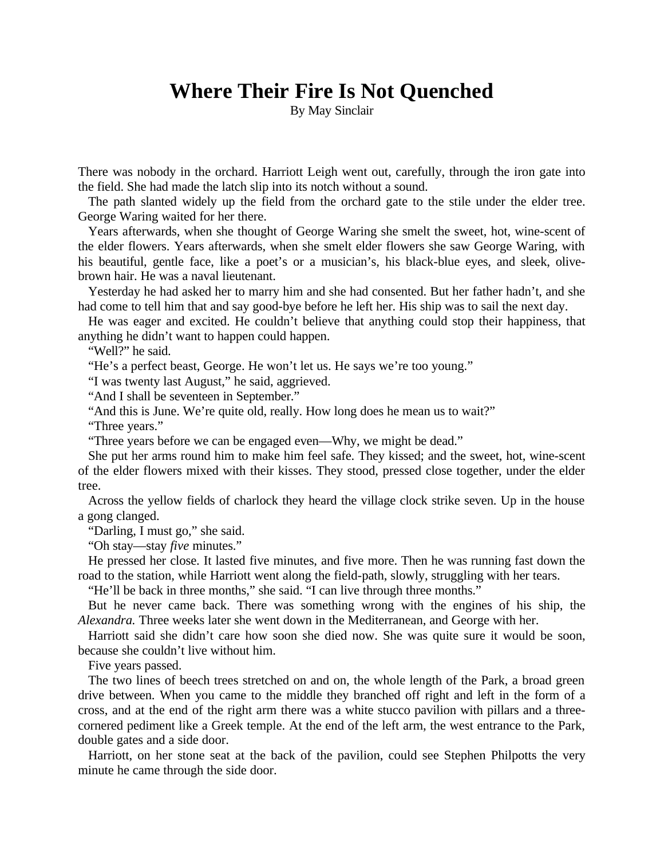## **Where Their Fire Is Not Quenched**

By May Sinclair

There was nobody in the orchard. Harriott Leigh went out, carefully, through the iron gate into the field. She had made the latch slip into its notch without a sound.

The path slanted widely up the field from the orchard gate to the stile under the elder tree. George Waring waited for her there.

Years afterwards, when she thought of George Waring she smelt the sweet, hot, wine-scent of the elder flowers. Years afterwards, when she smelt elder flowers she saw George Waring, with his beautiful, gentle face, like a poet's or a musician's, his black-blue eyes, and sleek, olivebrown hair. He was a naval lieutenant.

Yesterday he had asked her to marry him and she had consented. But her father hadn't, and she had come to tell him that and say good-bye before he left her. His ship was to sail the next day.

He was eager and excited. He couldn't believe that anything could stop their happiness, that anything he didn't want to happen could happen.

"Well?" he said.

"He's a perfect beast, George. He won't let us. He says we're too young."

"I was twenty last August," he said, aggrieved.

"And I shall be seventeen in September."

"And this is June. We're quite old, really. How long does he mean us to wait?"

"Three years."

"Three years before we can be engaged even—Why, we might be dead."

She put her arms round him to make him feel safe. They kissed; and the sweet, hot, wine-scent of the elder flowers mixed with their kisses. They stood, pressed close together, under the elder tree.

Across the yellow fields of charlock they heard the village clock strike seven. Up in the house a gong clanged.

"Darling, I must go," she said.

"Oh stay—stay *five* minutes."

He pressed her close. It lasted five minutes, and five more. Then he was running fast down the road to the station, while Harriott went along the field-path, slowly, struggling with her tears.

"He'll be back in three months," she said. "I can live through three months."

But he never came back. There was something wrong with the engines of his ship, the *Alexandra.* Three weeks later she went down in the Mediterranean, and George with her.

Harriott said she didn't care how soon she died now. She was quite sure it would be soon, because she couldn't live without him.

Five years passed.

The two lines of beech trees stretched on and on, the whole length of the Park, a broad green drive between. When you came to the middle they branched off right and left in the form of a cross, and at the end of the right arm there was a white stucco pavilion with pillars and a threecornered pediment like a Greek temple. At the end of the left arm, the west entrance to the Park, double gates and a side door.

Harriott, on her stone seat at the back of the pavilion, could see Stephen Philpotts the very minute he came through the side door.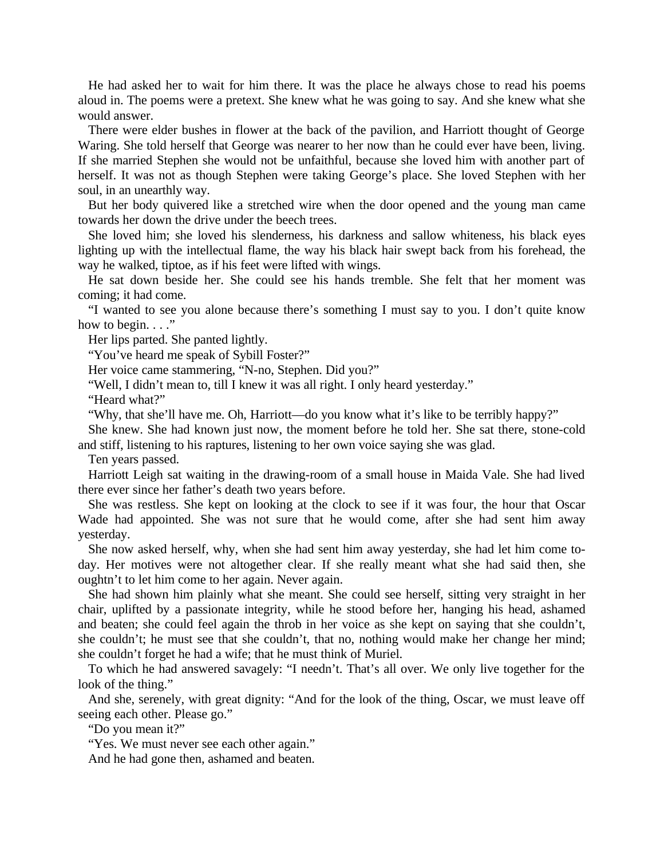He had asked her to wait for him there. It was the place he always chose to read his poems aloud in. The poems were a pretext. She knew what he was going to say. And she knew what she would answer.

There were elder bushes in flower at the back of the pavilion, and Harriott thought of George Waring. She told herself that George was nearer to her now than he could ever have been, living. If she married Stephen she would not be unfaithful, because she loved him with another part of herself. It was not as though Stephen were taking George's place. She loved Stephen with her soul, in an unearthly way.

But her body quivered like a stretched wire when the door opened and the young man came towards her down the drive under the beech trees.

She loved him; she loved his slenderness, his darkness and sallow whiteness, his black eyes lighting up with the intellectual flame, the way his black hair swept back from his forehead, the way he walked, tiptoe, as if his feet were lifted with wings.

He sat down beside her. She could see his hands tremble. She felt that her moment was coming; it had come.

"I wanted to see you alone because there's something I must say to you. I don't quite know how to begin.  $\ldots$ "

Her lips parted. She panted lightly.

"You've heard me speak of Sybill Foster?"

Her voice came stammering, "N-no, Stephen. Did you?"

"Well, I didn't mean to, till I knew it was all right. I only heard yesterday."

"Heard what?"

"Why, that she'll have me. Oh, Harriott—do you know what it's like to be terribly happy?"

She knew. She had known just now, the moment before he told her. She sat there, stone-cold and stiff, listening to his raptures, listening to her own voice saying she was glad.

Ten years passed.

Harriott Leigh sat waiting in the drawing-room of a small house in Maida Vale. She had lived there ever since her father's death two years before.

She was restless. She kept on looking at the clock to see if it was four, the hour that Oscar Wade had appointed. She was not sure that he would come, after she had sent him away yesterday.

She now asked herself, why, when she had sent him away yesterday, she had let him come today. Her motives were not altogether clear. If she really meant what she had said then, she oughtn't to let him come to her again. Never again.

She had shown him plainly what she meant. She could see herself, sitting very straight in her chair, uplifted by a passionate integrity, while he stood before her, hanging his head, ashamed and beaten; she could feel again the throb in her voice as she kept on saying that she couldn't, she couldn't; he must see that she couldn't, that no, nothing would make her change her mind; she couldn't forget he had a wife; that he must think of Muriel.

To which he had answered savagely: "I needn't. That's all over. We only live together for the look of the thing."

And she, serenely, with great dignity: "And for the look of the thing, Oscar, we must leave off seeing each other. Please go."

"Do you mean it?"

"Yes. We must never see each other again."

And he had gone then, ashamed and beaten.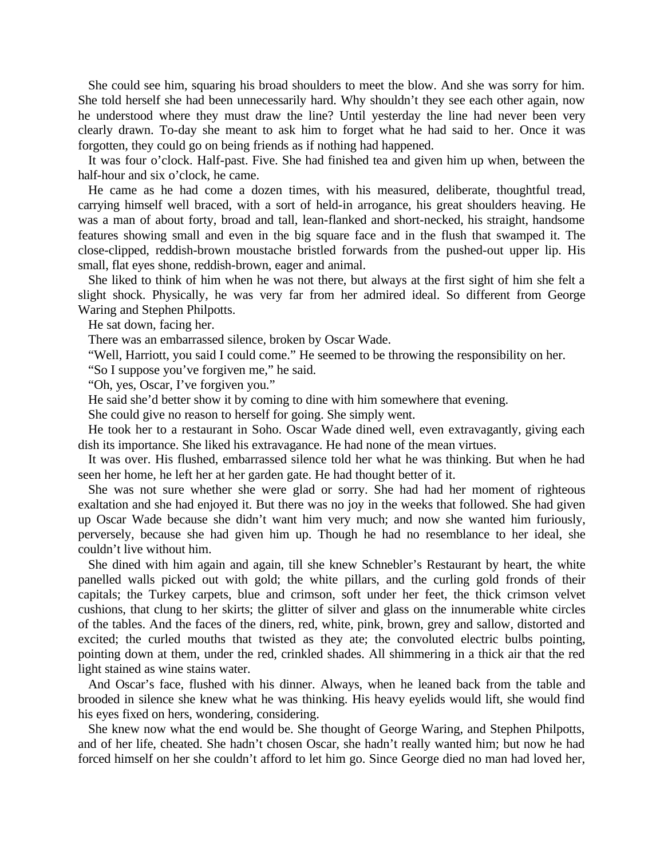She could see him, squaring his broad shoulders to meet the blow. And she was sorry for him. She told herself she had been unnecessarily hard. Why shouldn't they see each other again, now he understood where they must draw the line? Until yesterday the line had never been very clearly drawn. To-day she meant to ask him to forget what he had said to her. Once it was forgotten, they could go on being friends as if nothing had happened.

It was four o'clock. Half-past. Five. She had finished tea and given him up when, between the half-hour and six o'clock, he came.

He came as he had come a dozen times, with his measured, deliberate, thoughtful tread, carrying himself well braced, with a sort of held-in arrogance, his great shoulders heaving. He was a man of about forty, broad and tall, lean-flanked and short-necked, his straight, handsome features showing small and even in the big square face and in the flush that swamped it. The close-clipped, reddish-brown moustache bristled forwards from the pushed-out upper lip. His small, flat eyes shone, reddish-brown, eager and animal.

She liked to think of him when he was not there, but always at the first sight of him she felt a slight shock. Physically, he was very far from her admired ideal. So different from George Waring and Stephen Philpotts.

He sat down, facing her.

There was an embarrassed silence, broken by Oscar Wade.

"Well, Harriott, you said I could come." He seemed to be throwing the responsibility on her.

"So I suppose you've forgiven me," he said.

"Oh, yes, Oscar, I've forgiven you."

He said she'd better show it by coming to dine with him somewhere that evening.

She could give no reason to herself for going. She simply went.

He took her to a restaurant in Soho. Oscar Wade dined well, even extravagantly, giving each dish its importance. She liked his extravagance. He had none of the mean virtues.

It was over. His flushed, embarrassed silence told her what he was thinking. But when he had seen her home, he left her at her garden gate. He had thought better of it.

She was not sure whether she were glad or sorry. She had had her moment of righteous exaltation and she had enjoyed it. But there was no joy in the weeks that followed. She had given up Oscar Wade because she didn't want him very much; and now she wanted him furiously, perversely, because she had given him up. Though he had no resemblance to her ideal, she couldn't live without him.

She dined with him again and again, till she knew Schnebler's Restaurant by heart, the white panelled walls picked out with gold; the white pillars, and the curling gold fronds of their capitals; the Turkey carpets, blue and crimson, soft under her feet, the thick crimson velvet cushions, that clung to her skirts; the glitter of silver and glass on the innumerable white circles of the tables. And the faces of the diners, red, white, pink, brown, grey and sallow, distorted and excited; the curled mouths that twisted as they ate; the convoluted electric bulbs pointing, pointing down at them, under the red, crinkled shades. All shimmering in a thick air that the red light stained as wine stains water.

And Oscar's face, flushed with his dinner. Always, when he leaned back from the table and brooded in silence she knew what he was thinking. His heavy eyelids would lift, she would find his eyes fixed on hers, wondering, considering.

She knew now what the end would be. She thought of George Waring, and Stephen Philpotts, and of her life, cheated. She hadn't chosen Oscar, she hadn't really wanted him; but now he had forced himself on her she couldn't afford to let him go. Since George died no man had loved her,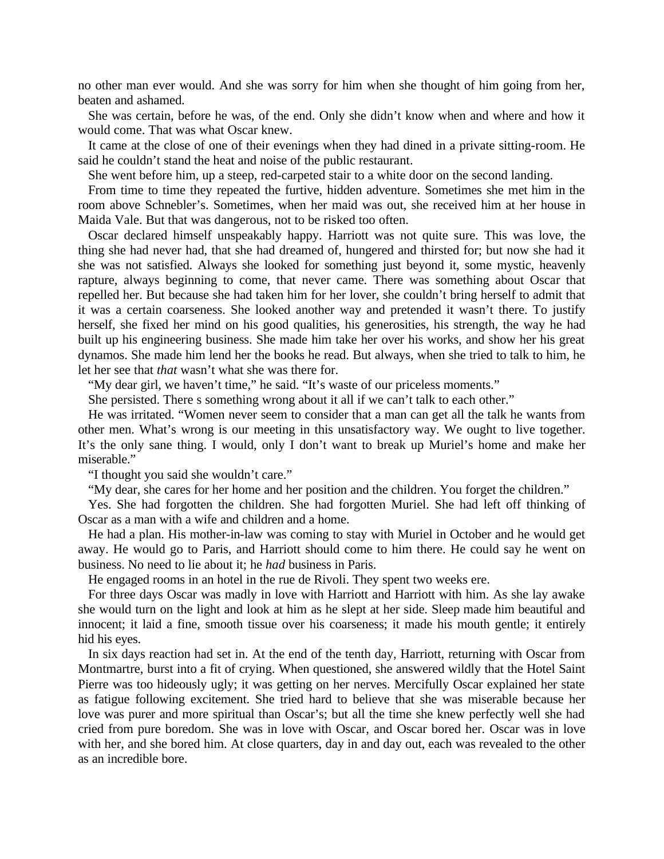no other man ever would. And she was sorry for him when she thought of him going from her, beaten and ashamed.

She was certain, before he was, of the end. Only she didn't know when and where and how it would come. That was what Oscar knew.

It came at the close of one of their evenings when they had dined in a private sitting-room. He said he couldn't stand the heat and noise of the public restaurant.

She went before him, up a steep, red-carpeted stair to a white door on the second landing.

From time to time they repeated the furtive, hidden adventure. Sometimes she met him in the room above Schnebler's. Sometimes, when her maid was out, she received him at her house in Maida Vale. But that was dangerous, not to be risked too often.

Oscar declared himself unspeakably happy. Harriott was not quite sure. This was love, the thing she had never had, that she had dreamed of, hungered and thirsted for; but now she had it she was not satisfied. Always she looked for something just beyond it, some mystic, heavenly rapture, always beginning to come, that never came. There was something about Oscar that repelled her. But because she had taken him for her lover, she couldn't bring herself to admit that it was a certain coarseness. She looked another way and pretended it wasn't there. To justify herself, she fixed her mind on his good qualities, his generosities, his strength, the way he had built up his engineering business. She made him take her over his works, and show her his great dynamos. She made him lend her the books he read. But always, when she tried to talk to him, he let her see that *that* wasn't what she was there for.

"My dear girl, we haven't time," he said. "It's waste of our priceless moments."

She persisted. There s something wrong about it all if we can't talk to each other."

He was irritated. "Women never seem to consider that a man can get all the talk he wants from other men. What's wrong is our meeting in this unsatisfactory way. We ought to live together. It's the only sane thing. I would, only I don't want to break up Muriel's home and make her miserable."

"I thought you said she wouldn't care."

"My dear, she cares for her home and her position and the children. You forget the children."

Yes. She had forgotten the children. She had forgotten Muriel. She had left off thinking of Oscar as a man with a wife and children and a home.

He had a plan. His mother-in-law was coming to stay with Muriel in October and he would get away. He would go to Paris, and Harriott should come to him there. He could say he went on business. No need to lie about it; he *had* business in Paris.

He engaged rooms in an hotel in the rue de Rivoli. They spent two weeks ere.

For three days Oscar was madly in love with Harriott and Harriott with him. As she lay awake she would turn on the light and look at him as he slept at her side. Sleep made him beautiful and innocent; it laid a fine, smooth tissue over his coarseness; it made his mouth gentle; it entirely hid his eyes.

In six days reaction had set in. At the end of the tenth day, Harriott, returning with Oscar from Montmartre, burst into a fit of crying. When questioned, she answered wildly that the Hotel Saint Pierre was too hideously ugly; it was getting on her nerves. Mercifully Oscar explained her state as fatigue following excitement. She tried hard to believe that she was miserable because her love was purer and more spiritual than Oscar's; but all the time she knew perfectly well she had cried from pure boredom. She was in love with Oscar, and Oscar bored her. Oscar was in love with her, and she bored him. At close quarters, day in and day out, each was revealed to the other as an incredible bore.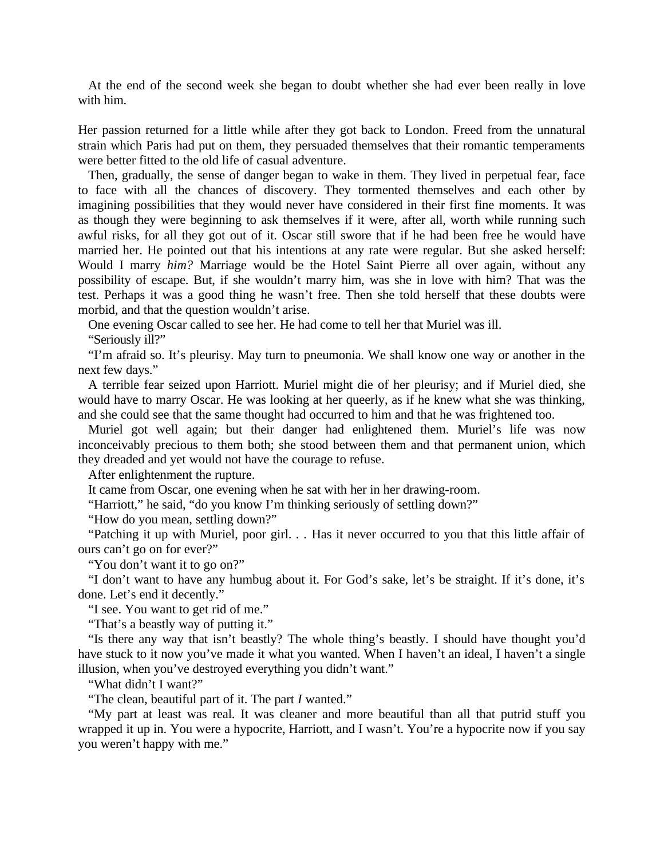At the end of the second week she began to doubt whether she had ever been really in love with him.

Her passion returned for a little while after they got back to London. Freed from the unnatural strain which Paris had put on them, they persuaded themselves that their romantic temperaments were better fitted to the old life of casual adventure.

Then, gradually, the sense of danger began to wake in them. They lived in perpetual fear, face to face with all the chances of discovery. They tormented themselves and each other by imagining possibilities that they would never have considered in their first fine moments. It was as though they were beginning to ask themselves if it were, after all, worth while running such awful risks, for all they got out of it. Oscar still swore that if he had been free he would have married her. He pointed out that his intentions at any rate were regular. But she asked herself: Would I marry *him?* Marriage would be the Hotel Saint Pierre all over again, without any possibility of escape. But, if she wouldn't marry him, was she in love with him? That was the test. Perhaps it was a good thing he wasn't free. Then she told herself that these doubts were morbid, and that the question wouldn't arise.

One evening Oscar called to see her. He had come to tell her that Muriel was ill. "Seriously ill?"

"I'm afraid so. It's pleurisy. May turn to pneumonia. We shall know one way or another in the next few days."

A terrible fear seized upon Harriott. Muriel might die of her pleurisy; and if Muriel died, she would have to marry Oscar. He was looking at her queerly, as if he knew what she was thinking, and she could see that the same thought had occurred to him and that he was frightened too.

Muriel got well again; but their danger had enlightened them. Muriel's life was now inconceivably precious to them both; she stood between them and that permanent union, which they dreaded and yet would not have the courage to refuse.

After enlightenment the rupture.

It came from Oscar, one evening when he sat with her in her drawing-room.

"Harriott," he said, "do you know I'm thinking seriously of settling down?"

"How do you mean, settling down?"

"Patching it up with Muriel, poor girl. *. .* Has it never occurred to you that this little affair of ours can't go on for ever?"

"You don't want it to go on?"

"I don't want to have any humbug about it. For God's sake, let's be straight. If it's done, it's done. Let's end it decently."

"I see. You want to get rid of me."

"That's a beastly way of putting it."

"Is there any way that isn't beastly? The whole thing's beastly. I should have thought you'd have stuck to it now you've made it what you wanted. When I haven't an ideal, I haven't a single illusion, when you've destroyed everything you didn't want."

"What didn't I want?"

"The clean, beautiful part of it. The part *I* wanted."

"My part at least was real. It was cleaner and more beautiful than all that putrid stuff you wrapped it up in. You were a hypocrite, Harriott, and I wasn't. You're a hypocrite now if you say you weren't happy with me."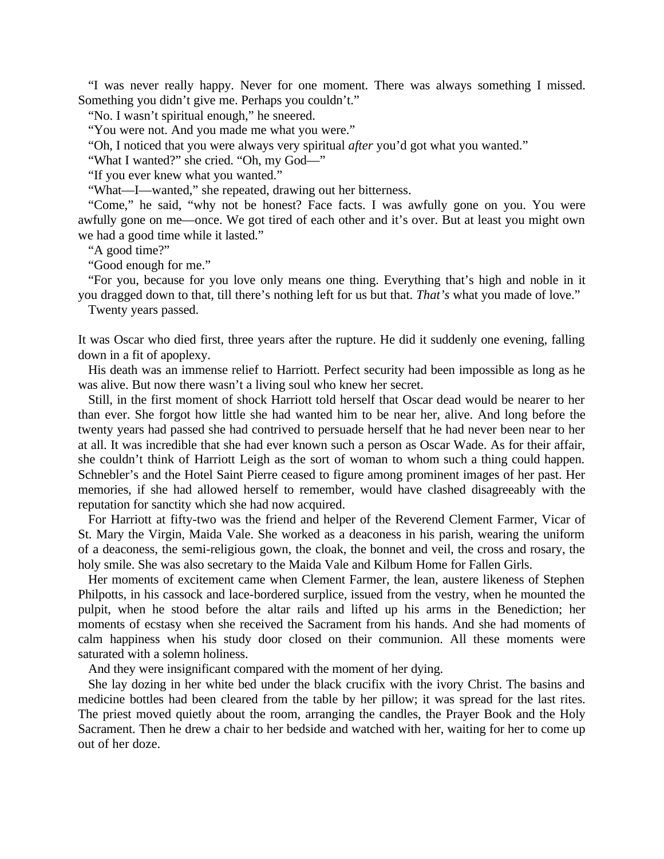"I was never really happy. Never for one moment. There was always something I missed. Something you didn't give me. Perhaps you couldn't."

"No. I wasn't spiritual enough," he sneered.

"You were not. And you made me what you were."

"Oh, I noticed that you were always very spiritual *after* you'd got what you wanted."

"What I wanted?" she cried. "Oh, my God—"

"If you ever knew what you wanted."

"What—I—wanted," she repeated, drawing out her bitterness.

"Come," he said, "why not be honest? Face facts. I was awfully gone on you. You were awfully gone on me—once. We got tired of each other and it's over. But at least you might own we had a good time while it lasted."

"A good time?"

"Good enough for me."

"For you, because for you love only means one thing. Everything that's high and noble in it you dragged down to that, till there's nothing left for us but that. *That's* what you made of love."

Twenty years passed.

It was Oscar who died first, three years after the rupture. He did it suddenly one evening, falling down in a fit of apoplexy.

His death was an immense relief to Harriott. Perfect security had been impossible as long as he was alive. But now there wasn't a living soul who knew her secret.

Still, in the first moment of shock Harriott told herself that Oscar dead would be nearer to her than ever. She forgot how little she had wanted him to be near her, alive. And long before the twenty years had passed she had contrived to persuade herself that he had never been near to her at all. It was incredible that she had ever known such a person as Oscar Wade. As for their affair, she couldn't think of Harriott Leigh as the sort of woman to whom such a thing could happen. Schnebler's and the Hotel Saint Pierre ceased to figure among prominent images of her past. Her memories, if she had allowed herself to remember, would have clashed disagreeably with the reputation for sanctity which she had now acquired.

For Harriott at fifty-two was the friend and helper of the Reverend Clement Farmer, Vicar of St. Mary the Virgin, Maida Vale. She worked as a deaconess in his parish, wearing the uniform of a deaconess, the semi-religious gown, the cloak, the bonnet and veil, the cross and rosary, the holy smile. She was also secretary to the Maida Vale and Kilbum Home for Fallen Girls.

Her moments of excitement came when Clement Farmer, the lean, austere likeness of Stephen Philpotts, in his cassock and lace-bordered surplice, issued from the vestry, when he mounted the pulpit, when he stood before the altar rails and lifted up his arms in the Benediction; her moments of ecstasy when she received the Sacrament from his hands. And she had moments of calm happiness when his study door closed on their communion. All these moments were saturated with a solemn holiness.

And they were insignificant compared with the moment of her dying.

She lay dozing in her white bed under the black crucifix with the ivory Christ. The basins and medicine bottles had been cleared from the table by her pillow; it was spread for the last rites. The priest moved quietly about the room, arranging the candles, the Prayer Book and the Holy Sacrament. Then he drew a chair to her bedside and watched with her, waiting for her to come up out of her doze.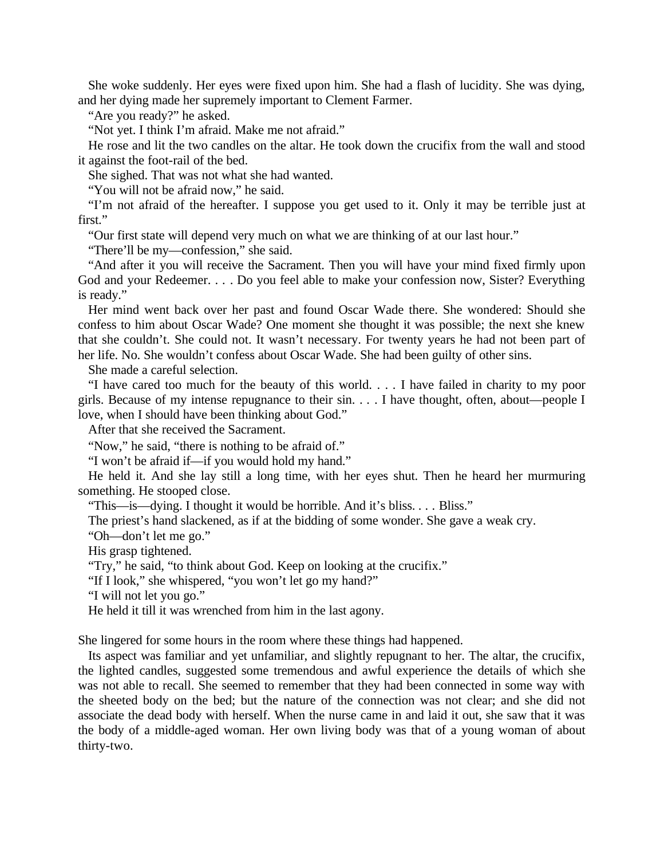She woke suddenly. Her eyes were fixed upon him. She had a flash of lucidity. She was dying, and her dying made her supremely important to Clement Farmer.

"Are you ready?" he asked.

"Not yet. I think I'm afraid. Make me not afraid."

He rose and lit the two candles on the altar. He took down the crucifix from the wall and stood it against the foot-rail of the bed.

She sighed. That was not what she had wanted.

"You will not be afraid now," he said.

"I'm not afraid of the hereafter. I suppose you get used to it. Only it may be terrible just at first."

"Our first state will depend very much on what we are thinking of at our last hour."

"There'll be my—confession," she said.

"And after it you will receive the Sacrament. Then you will have your mind fixed firmly upon God and your Redeemer. . *.* . Do you feel able to make your confession now, Sister? Everything is ready."

Her mind went back over her past and found Oscar Wade there. She wondered: Should she confess to him about Oscar Wade? One moment she thought it was possible; the next she knew that she couldn't. She could not. It wasn't necessary. For twenty years he had not been part of her life. No. She wouldn't confess about Oscar Wade. She had been guilty of other sins.

She made a careful selection.

"I have cared too much for the beauty of this world. . . *.* I have failed in charity to my poor girls. Because of my intense repugnance to their sin. . *.* . I have thought, often, about—people I love, when I should have been thinking about God."

After that she received the Sacrament.

"Now," he said, "there is nothing to be afraid of."

"I won't be afraid if—if you would hold my hand."

He held it. And she lay still a long time, with her eyes shut. Then he heard her murmuring something. He stooped close.

"This—is—dying. I thought it would be horrible. And it's bliss. *. . .* Bliss."

The priest's hand slackened, as if at the bidding of some wonder. She gave a weak cry.

"Oh—don't let me go."

His grasp tightened.

"Try," he said, "to think about God. Keep on looking at the crucifix."

"If I look," she whispered, "you won't let go my hand?"

"I will not let you go."

He held it till it was wrenched from him in the last agony.

She lingered for some hours in the room where these things had happened.

Its aspect was familiar and yet unfamiliar, and slightly repugnant to her. The altar, the crucifix, the lighted candles, suggested some tremendous and awful experience the details of which she was not able to recall. She seemed to remember that they had been connected in some way with the sheeted body on the bed; but the nature of the connection was not clear; and she did not associate the dead body with herself. When the nurse came in and laid it out, she saw that it was the body of a middle-aged woman. Her own living body was that of a young woman of about thirty-two.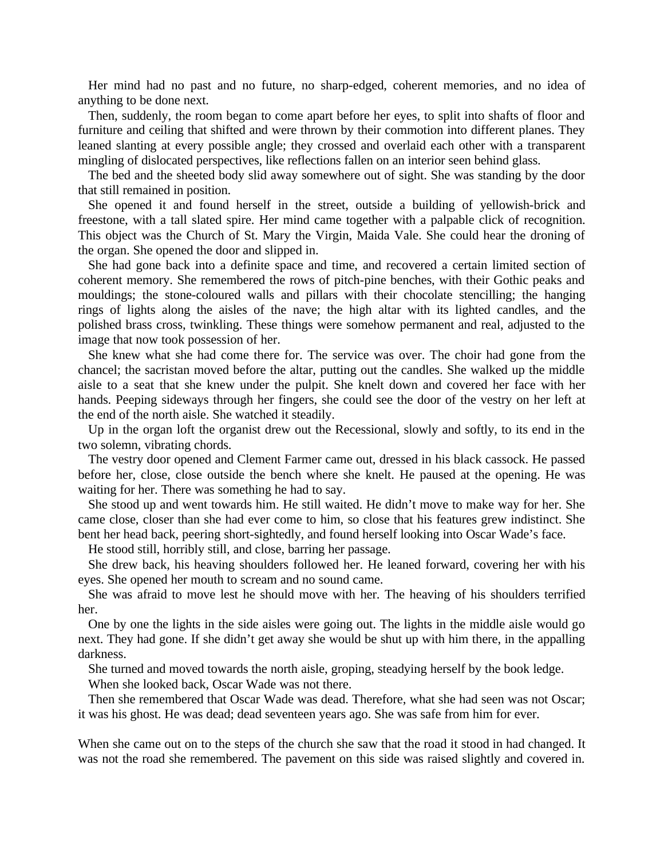Her mind had no past and no future, no sharp-edged, coherent memories, and no idea of anything to be done next.

Then, suddenly, the room began to come apart before her eyes, to split into shafts of floor and furniture and ceiling that shifted and were thrown by their commotion into different planes. They leaned slanting at every possible angle; they crossed and overlaid each other with a transparent mingling of dislocated perspectives, like reflections fallen on an interior seen behind glass.

The bed and the sheeted body slid away somewhere out of sight. She was standing by the door that still remained in position.

She opened it and found herself in the street, outside a building of yellowish-brick and freestone, with a tall slated spire. Her mind came together with a palpable click of recognition. This object was the Church of St. Mary the Virgin, Maida Vale. She could hear the droning of the organ. She opened the door and slipped in.

She had gone back into a definite space and time, and recovered a certain limited section of coherent memory. She remembered the rows of pitch-pine benches, with their Gothic peaks and mouldings; the stone-coloured walls and pillars with their chocolate stencilling; the hanging rings of lights along the aisles of the nave; the high altar with its lighted candles, and the polished brass cross, twinkling. These things were somehow permanent and real, adjusted to the image that now took possession of her.

She knew what she had come there for. The service was over. The choir had gone from the chancel; the sacristan moved before the altar, putting out the candles. She walked up the middle aisle to a seat that she knew under the pulpit. She knelt down and covered her face with her hands. Peeping sideways through her fingers, she could see the door of the vestry on her left at the end of the north aisle. She watched it steadily.

Up in the organ loft the organist drew out the Recessional, slowly and softly, to its end in the two solemn, vibrating chords.

The vestry door opened and Clement Farmer came out, dressed in his black cassock. He passed before her, close, close outside the bench where she knelt. He paused at the opening. He was waiting for her. There was something he had to say.

She stood up and went towards him. He still waited. He didn't move to make way for her. She came close, closer than she had ever come to him, so close that his features grew indistinct. She bent her head back, peering short-sightedly, and found herself looking into Oscar Wade's face.

He stood still, horribly still, and close, barring her passage.

She drew back, his heaving shoulders followed her. He leaned forward, covering her with his eyes. She opened her mouth to scream and no sound came.

She was afraid to move lest he should move with her. The heaving of his shoulders terrified her.

One by one the lights in the side aisles were going out. The lights in the middle aisle would go next. They had gone. If she didn't get away she would be shut up with him there, in the appalling darkness.

She turned and moved towards the north aisle, groping, steadying herself by the book ledge.

When she looked back, Oscar Wade was not there.

Then she remembered that Oscar Wade was dead. Therefore, what she had seen was not Oscar; it was his ghost. He was dead; dead seventeen years ago. She was safe from him for ever.

When she came out on to the steps of the church she saw that the road it stood in had changed. It was not the road she remembered. The pavement on this side was raised slightly and covered in.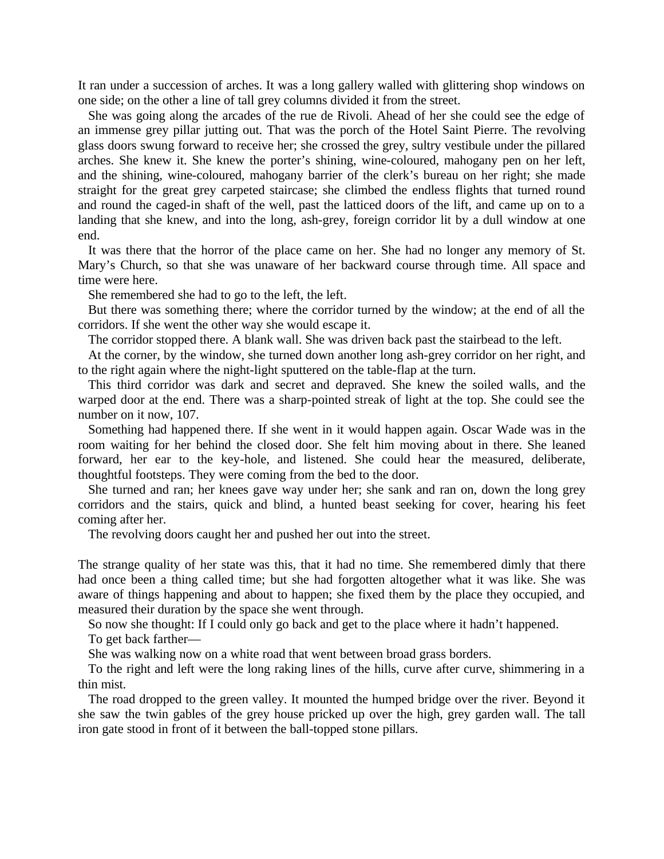It ran under a succession of arches. It was a long gallery walled with glittering shop windows on one side; on the other a line of tall grey columns divided it from the street.

She was going along the arcades of the rue de Rivoli. Ahead of her she could see the edge of an immense grey pillar jutting out. That was the porch of the Hotel Saint Pierre. The revolving glass doors swung forward to receive her; she crossed the grey, sultry vestibule under the pillared arches. She knew it. She knew the porter's shining, wine-coloured, mahogany pen on her left, and the shining, wine-coloured, mahogany barrier of the clerk's bureau on her right; she made straight for the great grey carpeted staircase; she climbed the endless flights that turned round and round the caged-in shaft of the well, past the latticed doors of the lift, and came up on to a landing that she knew, and into the long, ash-grey, foreign corridor lit by a dull window at one end.

It was there that the horror of the place came on her. She had no longer any memory of St. Mary's Church, so that she was unaware of her backward course through time. All space and time were here.

She remembered she had to go to the left, the left.

But there was something there; where the corridor turned by the window; at the end of all the corridors. If she went the other way she would escape it.

The corridor stopped there. A blank wall. She was driven back past the stairbead to the left.

At the corner, by the window, she turned down another long ash-grey corridor on her right, and to the right again where the night-light sputtered on the table-flap at the turn.

This third corridor was dark and secret and depraved. She knew the soiled walls, and the warped door at the end. There was a sharp-pointed streak of light at the top. She could see the number on it now, 107.

Something had happened there. If she went in it would happen again. Oscar Wade was in the room waiting for her behind the closed door. She felt him moving about in there. She leaned forward, her ear to the key-hole, and listened. She could hear the measured, deliberate, thoughtful footsteps. They were coming from the bed to the door.

She turned and ran; her knees gave way under her; she sank and ran on, down the long grey corridors and the stairs, quick and blind, a hunted beast seeking for cover, hearing his feet coming after her.

The revolving doors caught her and pushed her out into the street.

The strange quality of her state was this, that it had no time. She remembered dimly that there had once been a thing called time; but she had forgotten altogether what it was like. She was aware of things happening and about to happen; she fixed them by the place they occupied, and measured their duration by the space she went through.

So now she thought: If I could only go back and get to the place where it hadn't happened. To get back farther—

She was walking now on a white road that went between broad grass borders.

To the right and left were the long raking lines of the hills, curve after curve, shimmering in a thin mist.

The road dropped to the green valley. It mounted the humped bridge over the river. Beyond it she saw the twin gables of the grey house pricked up over the high, grey garden wall. The tall iron gate stood in front of it between the ball-topped stone pillars.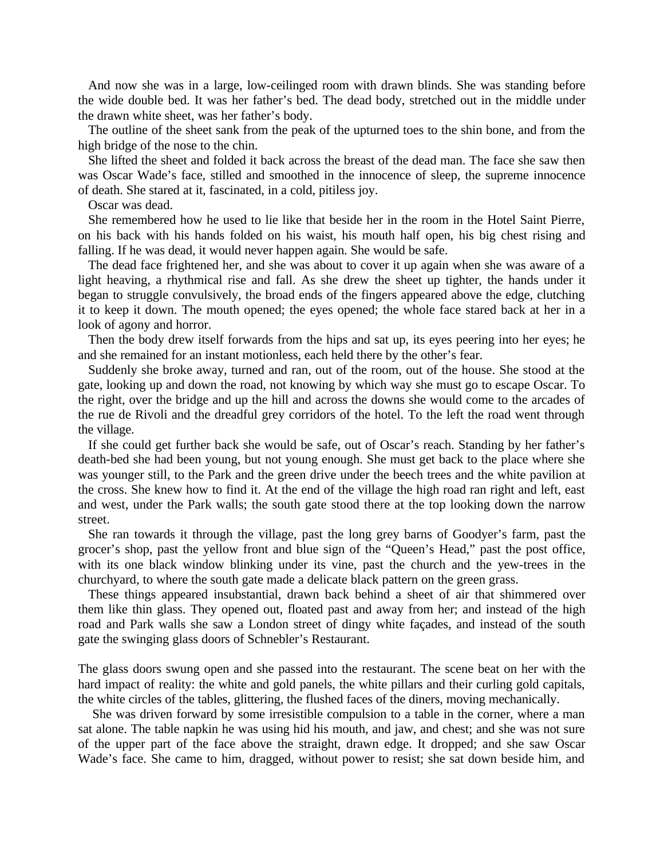And now she was in a large, low-ceilinged room with drawn blinds. She was standing before the wide double bed. It was her father's bed. The dead body, stretched out in the middle under the drawn white sheet, was her father's body.

The outline of the sheet sank from the peak of the upturned toes to the shin bone, and from the high bridge of the nose to the chin.

She lifted the sheet and folded it back across the breast of the dead man. The face she saw then was Oscar Wade's face, stilled and smoothed in the innocence of sleep, the supreme innocence of death. She stared at it, fascinated, in a cold, pitiless joy.

Oscar was dead.

She remembered how he used to lie like that beside her in the room in the Hotel Saint Pierre, on his back with his hands folded on his waist, his mouth half open, his big chest rising and falling. If he was dead, it would never happen again. She would be safe.

The dead face frightened her, and she was about to cover it up again when she was aware of a light heaving, a rhythmical rise and fall. As she drew the sheet up tighter, the hands under it began to struggle convulsively, the broad ends of the fingers appeared above the edge, clutching it to keep it down. The mouth opened; the eyes opened; the whole face stared back at her in a look of agony and horror.

Then the body drew itself forwards from the hips and sat up, its eyes peering into her eyes; he and she remained for an instant motionless, each held there by the other's fear.

Suddenly she broke away, turned and ran, out of the room, out of the house. She stood at the gate, looking up and down the road, not knowing by which way she must go to escape Oscar. To the right, over the bridge and up the hill and across the downs she would come to the arcades of the rue de Rivoli and the dreadful grey corridors of the hotel. To the left the road went through the village.

If she could get further back she would be safe, out of Oscar's reach. Standing by her father's death-bed she had been young, but not young enough. She must get back to the place where she was younger still, to the Park and the green drive under the beech trees and the white pavilion at the cross. She knew how to find it. At the end of the village the high road ran right and left, east and west, under the Park walls; the south gate stood there at the top looking down the narrow street.

She ran towards it through the village, past the long grey barns of Goodyer's farm, past the grocer's shop, past the yellow front and blue sign of the "Queen's Head," past the post office, with its one black window blinking under its vine, past the church and the yew-trees in the churchyard, to where the south gate made a delicate black pattern on the green grass.

These things appeared insubstantial, drawn back behind a sheet of air that shimmered over them like thin glass. They opened out, floated past and away from her; and instead of the high road and Park walls she saw a London street of dingy white façades, and instead of the south gate the swinging glass doors of Schnebler's Restaurant.

The glass doors swung open and she passed into the restaurant. The scene beat on her with the hard impact of reality: the white and gold panels, the white pillars and their curling gold capitals, the white circles of the tables, glittering, the flushed faces of the diners, moving mechanically.

 She was driven forward by some irresistible compulsion to a table in the corner, where a man sat alone. The table napkin he was using hid his mouth, and jaw, and chest; and she was not sure of the upper part of the face above the straight, drawn edge. It dropped; and she saw Oscar Wade's face. She came to him, dragged, without power to resist; she sat down beside him, and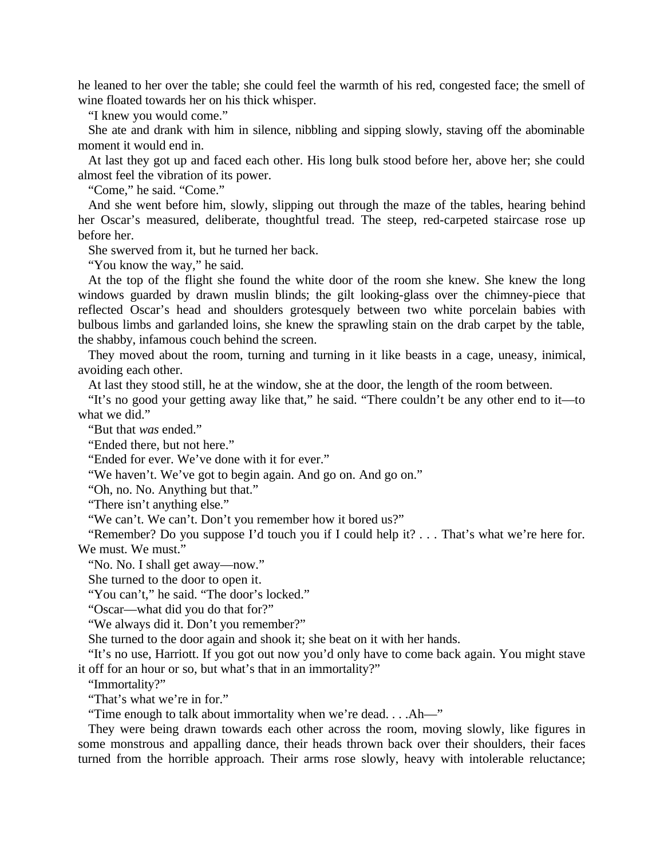he leaned to her over the table; she could feel the warmth of his red, congested face; the smell of wine floated towards her on his thick whisper.

"I knew you would come."

She ate and drank with him in silence, nibbling and sipping slowly, staving off the abominable moment it would end in.

At last they got up and faced each other. His long bulk stood before her, above her; she could almost feel the vibration of its power.

"Come," he said. "Come."

And she went before him, slowly, slipping out through the maze of the tables, hearing behind her Oscar's measured, deliberate, thoughtful tread. The steep, red-carpeted staircase rose up before her.

She swerved from it, but he turned her back.

"You know the way," he said.

At the top of the flight she found the white door of the room she knew. She knew the long windows guarded by drawn muslin blinds; the gilt looking-glass over the chimney-piece that reflected Oscar's head and shoulders grotesquely between two white porcelain babies with bulbous limbs and garlanded loins, she knew the sprawling stain on the drab carpet by the table, the shabby, infamous couch behind the screen.

They moved about the room, turning and turning in it like beasts in a cage, uneasy, inimical, avoiding each other.

At last they stood still, he at the window, she at the door, the length of the room between.

"It's no good your getting away like that," he said. "There couldn't be any other end to it—to what we did."

"But that *was* ended."

"Ended there, but not here."

"Ended for ever. We've done with it for ever."

"We haven't. We've got to begin again. And go on. And go on."

"Oh, no. No. Anything but that."

"There isn't anything else."

"We can't. We can't. Don't you remember how it bored us?"

"Remember? Do you suppose I'd touch you if I could help it? *. . .* That's what we're here for. We must. We must."

"No. No. I shall get away—now."

She turned to the door to open it.

"You can't," he said. "The door's locked."

"Oscar—what did you do that for?"

"We always did it. Don't you remember?"

She turned to the door again and shook it; she beat on it with her hands.

"It's no use, Harriott. If you got out now you'd only have to come back again. You might stave it off for an hour or so, but what's that in an immortality?"

"Immortality?"

"That's what we're in for."

"Time enough to talk about immortality when we're dead. . . .Ah—"

They were being drawn towards each other across the room, moving slowly, like figures in some monstrous and appalling dance, their heads thrown back over their shoulders, their faces turned from the horrible approach. Their arms rose slowly, heavy with intolerable reluctance;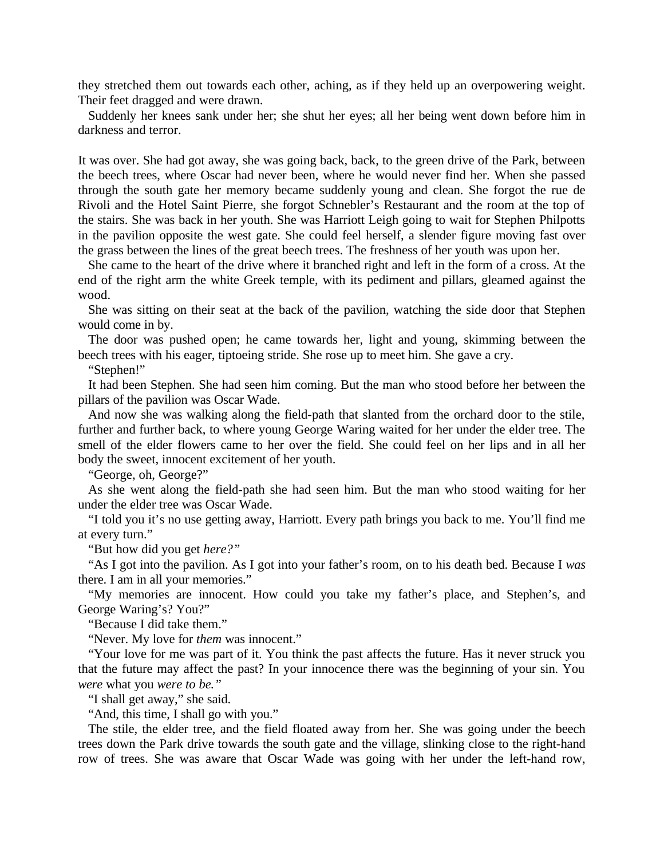they stretched them out towards each other, aching, as if they held up an overpowering weight. Their feet dragged and were drawn.

Suddenly her knees sank under her; she shut her eyes; all her being went down before him in darkness and terror.

It was over. She had got away, she was going back, back, to the green drive of the Park, between the beech trees, where Oscar had never been, where he would never find her. When she passed through the south gate her memory became suddenly young and clean. She forgot the rue de Rivoli and the Hotel Saint Pierre, she forgot Schnebler's Restaurant and the room at the top of the stairs. She was back in her youth. She was Harriott Leigh going to wait for Stephen Philpotts in the pavilion opposite the west gate. She could feel herself, a slender figure moving fast over the grass between the lines of the great beech trees. The freshness of her youth was upon her.

She came to the heart of the drive where it branched right and left in the form of a cross. At the end of the right arm the white Greek temple, with its pediment and pillars, gleamed against the wood.

She was sitting on their seat at the back of the pavilion, watching the side door that Stephen would come in by.

The door was pushed open; he came towards her, light and young, skimming between the beech trees with his eager, tiptoeing stride. She rose up to meet him. She gave a cry.

"Stephen!"

It had been Stephen. She had seen him coming. But the man who stood before her between the pillars of the pavilion was Oscar Wade.

And now she was walking along the field-path that slanted from the orchard door to the stile, further and further back, to where young George Waring waited for her under the elder tree. The smell of the elder flowers came to her over the field. She could feel on her lips and in all her body the sweet, innocent excitement of her youth.

"George, oh, George?"

As she went along the field-path she had seen him. But the man who stood waiting for her under the elder tree was Oscar Wade.

"I told you it's no use getting away, Harriott. Every path brings you back to me. You'll find me at every turn."

"But how did you get *here?"*

"As I got into the pavilion. As I got into your father's room, on to his death bed. Because I *was*  there. I am in all your memories."

"My memories are innocent. How could you take my father's place, and Stephen's, and George Waring's? You?"

"Because I did take them."

"Never. My love for *them* was innocent."

"Your love for me was part of it. You think the past affects the future. Has it never struck you that the future may affect the past? In your innocence there was the beginning of your sin. You *were* what you *were to be."*

"I shall get away," she said.

"And, this time, I shall go with you."

The stile, the elder tree, and the field floated away from her. She was going under the beech trees down the Park drive towards the south gate and the village, slinking close to the right-hand row of trees. She was aware that Oscar Wade was going with her under the left-hand row,